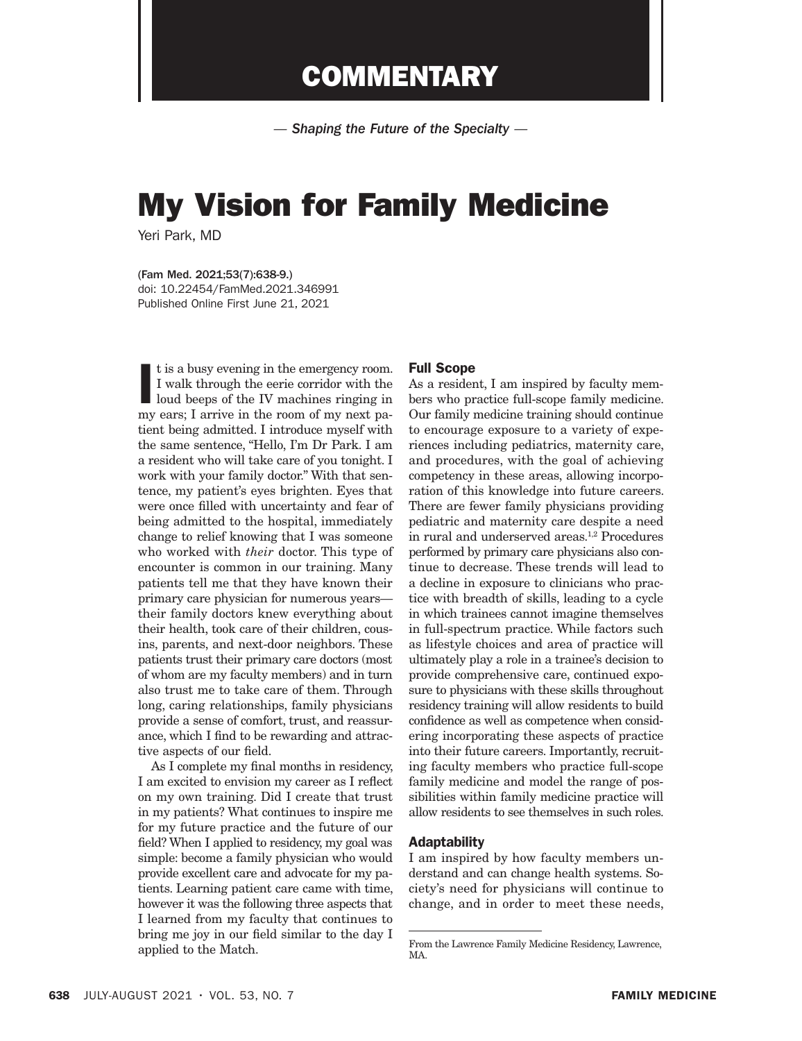# **COMMENTARY**

*— Shaping the Future of the Specialty —*

# My Vision for Family Medicine

Yeri Park, MD

(Fam Med. 2021;53(7):638-9.) doi: 10.22454/FamMed.2021.346991 Published Online First June 21, 2021

I is a busy evening in the emergency room.<br>I walk through the eerie corridor with the loud beeps of the IV machines ringing in my ears; I arrive in the room of my next pat is a busy evening in the emergency room. I walk through the eerie corridor with the loud beeps of the IV machines ringing in tient being admitted. I introduce myself with the same sentence, "Hello, I'm Dr Park. I am a resident who will take care of you tonight. I work with your family doctor." With that sentence, my patient's eyes brighten. Eyes that were once filled with uncertainty and fear of being admitted to the hospital, immediately change to relief knowing that I was someone who worked with *their* doctor. This type of encounter is common in our training. Many patients tell me that they have known their primary care physician for numerous years their family doctors knew everything about their health, took care of their children, cousins, parents, and next-door neighbors. These patients trust their primary care doctors (most of whom are my faculty members) and in turn also trust me to take care of them. Through long, caring relationships, family physicians provide a sense of comfort, trust, and reassurance, which I find to be rewarding and attractive aspects of our field.

As I complete my final months in residency, I am excited to envision my career as I reflect on my own training. Did I create that trust in my patients? What continues to inspire me for my future practice and the future of our field? When I applied to residency, my goal was simple: become a family physician who would provide excellent care and advocate for my patients. Learning patient care came with time, however it was the following three aspects that I learned from my faculty that continues to bring me joy in our field similar to the day I applied to the Match.

### Full Scope

As a resident, I am inspired by faculty members who practice full-scope family medicine. Our family medicine training should continue to encourage exposure to a variety of experiences including pediatrics, maternity care, and procedures, with the goal of achieving competency in these areas, allowing incorporation of this knowledge into future careers. There are fewer family physicians providing pediatric and maternity care despite a need in rural and underserved areas.<sup>1,2</sup> Procedures performed by primary care physicians also continue to decrease. These trends will lead to a decline in exposure to clinicians who practice with breadth of skills, leading to a cycle in which trainees cannot imagine themselves in full-spectrum practice. While factors such as lifestyle choices and area of practice will ultimately play a role in a trainee's decision to provide comprehensive care, continued exposure to physicians with these skills throughout residency training will allow residents to build confidence as well as competence when considering incorporating these aspects of practice into their future careers. Importantly, recruiting faculty members who practice full-scope family medicine and model the range of possibilities within family medicine practice will allow residents to see themselves in such roles.

# Adaptability

I am inspired by how faculty members understand and can change health systems. Society's need for physicians will continue to change, and in order to meet these needs,

From the Lawrence Family Medicine Residency, Lawrence, MA.